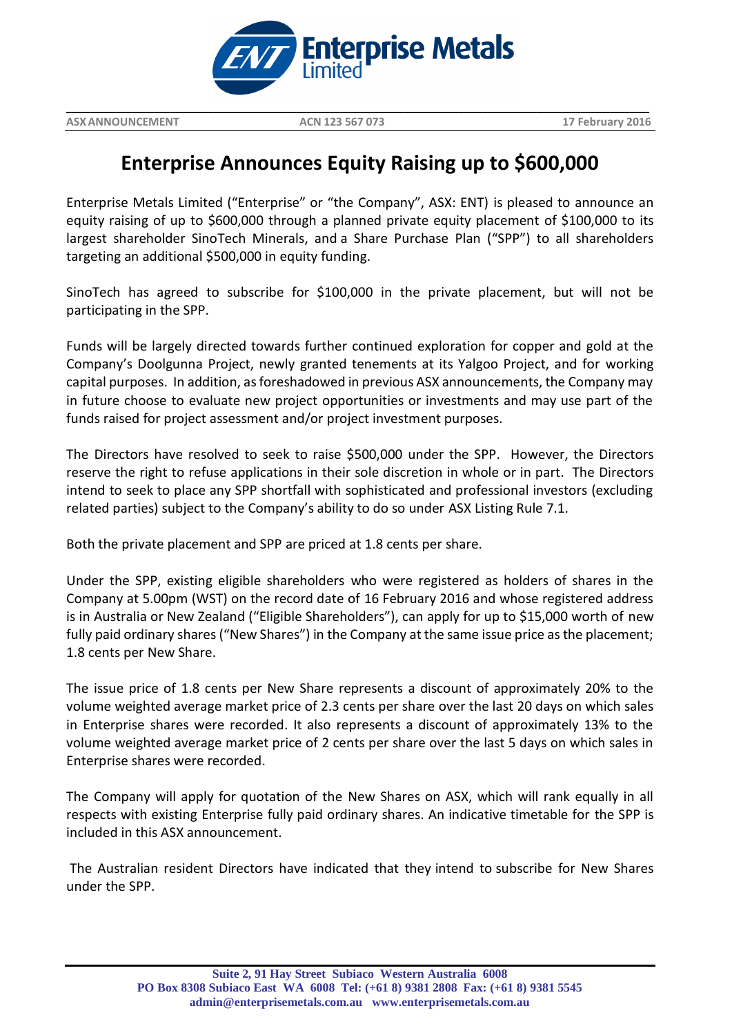

**ASXANNOUNCEMENT ACN 123 567 073 17 February 2016**

**\_\_\_\_\_\_\_\_\_\_\_\_\_\_\_\_\_\_\_\_\_\_\_\_\_\_\_\_\_\_\_\_\_\_\_\_\_\_\_\_\_\_\_\_\_\_\_\_\_\_\_\_\_\_\_\_\_\_\_\_\_\_\_\_\_\_\_\_\_\_\_\_\_\_\_\_\_\_\_\_\_\_\_\_\_\_\_\_\_\_\_\_\_\_\_\_\_\_\_\_\_\_\_\_\_\_\_\_\_\_\_\_\_\_\_\_\_\_\_**

## **Enterprise Announces Equity Raising up to \$600,000**

Enterprise Metals Limited ("Enterprise" or "the Company", ASX: ENT) is pleased to announce an equity raising of up to \$600,000 through a planned private equity placement of \$100,000 to its largest shareholder SinoTech Minerals, and a Share Purchase Plan ("SPP") to all shareholders targeting an additional \$500,000 in equity funding.

SinoTech has agreed to subscribe for \$100,000 in the private placement, but will not be participating in the SPP.

Funds will be largely directed towards further continued exploration for copper and gold at the Company's Doolgunna Project, newly granted tenements at its Yalgoo Project, and for working capital purposes. In addition, as foreshadowed in previous ASX announcements, the Company may in future choose to evaluate new project opportunities or investments and may use part of the funds raised for project assessment and/or project investment purposes.

The Directors have resolved to seek to raise \$500,000 under the SPP. However, the Directors reserve the right to refuse applications in their sole discretion in whole or in part. The Directors intend to seek to place any SPP shortfall with sophisticated and professional investors (excluding related parties) subject to the Company's ability to do so under ASX Listing Rule 7.1.

Both the private placement and SPP are priced at 1.8 cents per share.

Under the SPP, existing eligible shareholders who were registered as holders of shares in the Company at 5.00pm (WST) on the record date of 16 February 2016 and whose registered address is in Australia or New Zealand ("Eligible Shareholders"), can apply for up to \$15,000 worth of new fully paid ordinary shares ("New Shares") in the Company at the same issue price as the placement; 1.8 cents per New Share.

The issue price of 1.8 cents per New Share represents a discount of approximately 20% to the volume weighted average market price of 2.3 cents per share over the last 20 days on which sales in Enterprise shares were recorded. It also represents a discount of approximately 13% to the volume weighted average market price of 2 cents per share over the last 5 days on which sales in Enterprise shares were recorded.

The Company will apply for quotation of the New Shares on ASX, which will rank equally in all respects with existing Enterprise fully paid ordinary shares. An indicative timetable for the SPP is included in this ASX announcement.

The Australian resident Directors have indicated that they intend to subscribe for New Shares under the SPP.